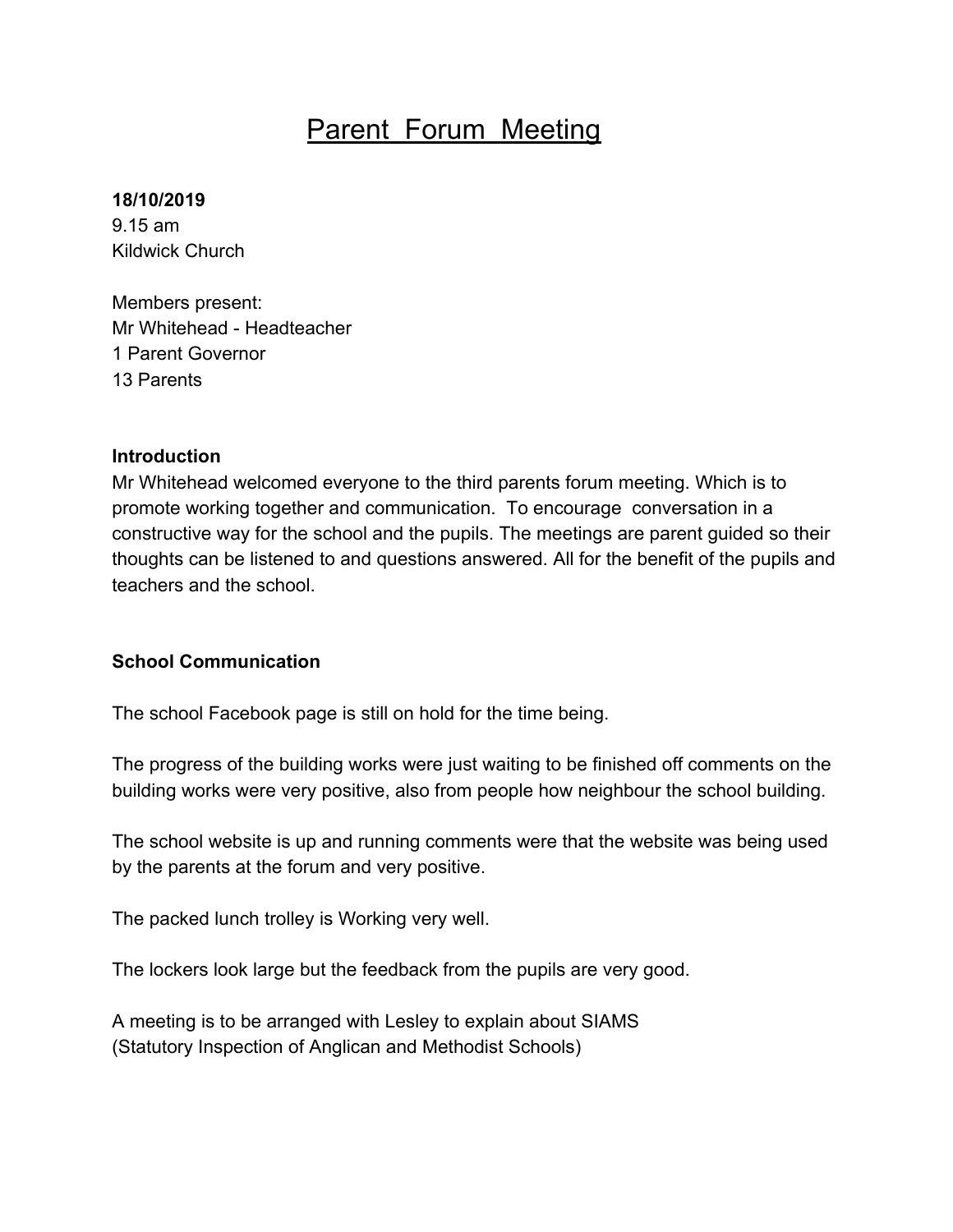# Parent Forum Meeting

#### **18/10/2019**

9.15 am Kildwick Church

Members present: Mr Whitehead - Headteacher 1 Parent Governor 13 Parents

#### **Introduction**

Mr Whitehead welcomed everyone to the third parents forum meeting. Which is to promote working together and communication. To encourage conversation in a constructive way for the school and the pupils. The meetings are parent guided so their thoughts can be listened to and questions answered. All for the benefit of the pupils and teachers and the school.

### **School Communication**

The school Facebook page is still on hold for the time being.

The progress of the building works were just waiting to be finished off comments on the building works were very positive, also from people how neighbour the school building.

The school website is up and running comments were that the website was being used by the parents at the forum and very positive.

The packed lunch trolley is Working very well.

The lockers look large but the feedback from the pupils are very good.

A meeting is to be arranged with Lesley to explain about SIAMS (Statutory Inspection of Anglican and Methodist Schools)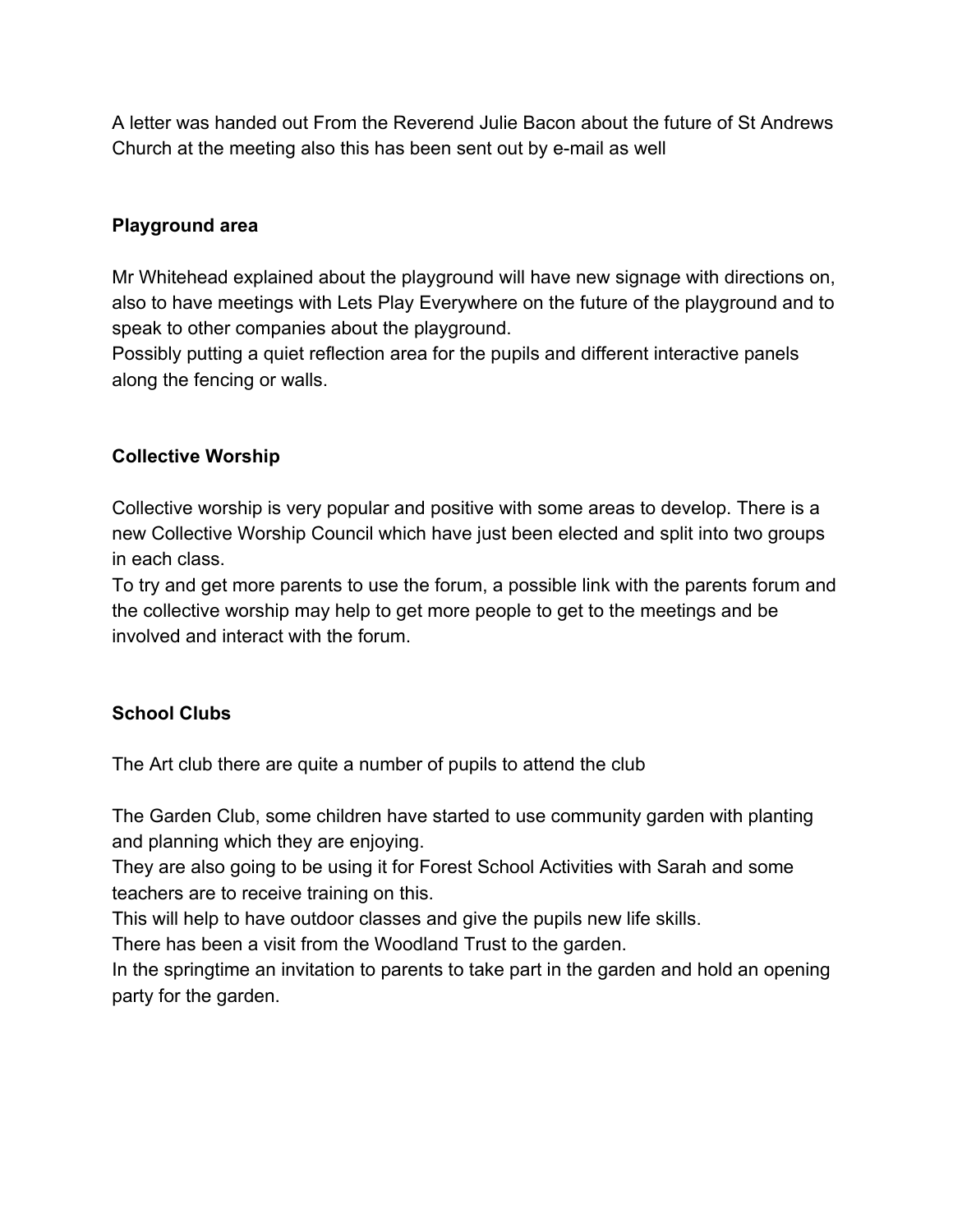A letter was handed out From the Reverend Julie Bacon about the future of St Andrews Church at the meeting also this has been sent out by e-mail as well

## **Playground area**

Mr Whitehead explained about the playground will have new signage with directions on, also to have meetings with Lets Play Everywhere on the future of the playground and to speak to other companies about the playground.

Possibly putting a quiet reflection area for the pupils and different interactive panels along the fencing or walls.

# **Collective Worship**

Collective worship is very popular and positive with some areas to develop. There is a new Collective Worship Council which have just been elected and split into two groups in each class.

To try and get more parents to use the forum, a possible link with the parents forum and the collective worship may help to get more people to get to the meetings and be involved and interact with the forum.

# **School Clubs**

The Art club there are quite a number of pupils to attend the club

The Garden Club, some children have started to use community garden with planting and planning which they are enjoying.

They are also going to be using it for Forest School Activities with Sarah and some teachers are to receive training on this.

This will help to have outdoor classes and give the pupils new life skills.

There has been a visit from the Woodland Trust to the garden.

In the springtime an invitation to parents to take part in the garden and hold an opening party for the garden.